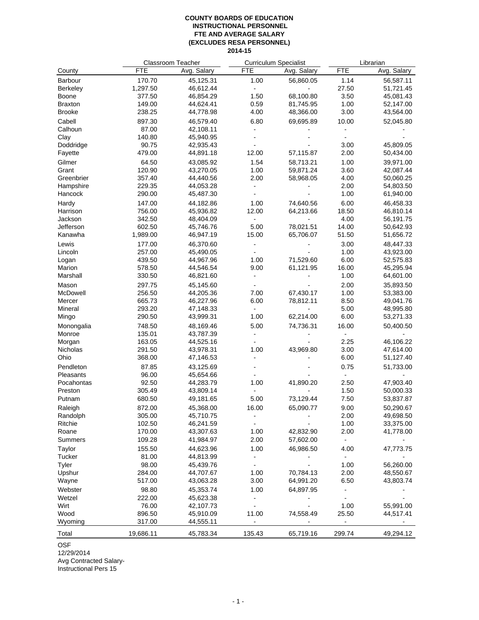|                |            | Classroom Teacher | <b>Curriculum Specialist</b> |             | Librarian                |             |
|----------------|------------|-------------------|------------------------------|-------------|--------------------------|-------------|
| County         | <b>FTE</b> | Avg. Salary       | <b>FTE</b>                   | Avg. Salary | <b>FTE</b>               | Avg. Salary |
| Barbour        | 170.70     | 45,125.31         | 1.00                         | 56,860.05   | 1.14                     | 56,587.11   |
| Berkeley       | 1,297.50   | 46,612.44         | $\overline{\phantom{a}}$     |             | 27.50                    | 51,721.45   |
| Boone          | 377.50     | 46,854.29         | 1.50                         | 68,100.80   | 3.50                     | 45,081.43   |
| <b>Braxton</b> | 149.00     | 44,624.41         | 0.59                         | 81,745.95   | 1.00                     | 52,147.00   |
| <b>Brooke</b>  | 238.25     | 44,778.98         | 4.00                         | 48,366.00   | 3.00                     | 43,564.00   |
| Cabell         | 897.30     | 46,579.40         | 6.80                         | 69,695.89   | 10.00                    | 52,045.80   |
| Calhoun        | 87.00      | 42,108.11         |                              |             |                          |             |
| Clay           | 140.80     | 45,940.95         |                              |             |                          |             |
| Doddridge      | 90.75      | 42,935.43         |                              |             | 3.00                     | 45,809.05   |
| Fayette        | 479.00     | 44,891.18         | 12.00                        | 57,115.87   | 2.00                     | 50,434.00   |
| Gilmer         | 64.50      | 43,085.92         | 1.54                         | 58,713.21   | 1.00                     | 39,971.00   |
| Grant          | 120.90     | 43,270.05         | 1.00                         | 59,871.24   | 3.60                     | 42,087.44   |
| Greenbrier     | 357.40     | 44,440.56         | 2.00                         | 58,968.05   | 4.00                     | 50,060.25   |
| Hampshire      | 229.35     | 44,053.28         |                              |             | 2.00                     | 54,803.50   |
| Hancock        | 290.00     | 45,487.30         |                              |             | 1.00                     | 61,940.00   |
| Hardy          | 147.00     | 44,182.86         | 1.00                         | 74,640.56   | 6.00                     | 46,458.33   |
| Harrison       | 756.00     | 45,936.82         | 12.00                        | 64,213.66   | 18.50                    | 46,810.14   |
| Jackson        | 342.50     | 48,404.09         | $\frac{1}{2}$                |             | 4.00                     | 56,191.75   |
| Jefferson      | 602.50     | 45,746.76         | 5.00                         | 78,021.51   | 14.00                    | 50,642.93   |
| Kanawha        | 1,989.00   | 46,947.19         | 15.00                        | 65,706.07   | 51.50                    | 51,656.72   |
| Lewis          | 177.00     | 46,370.60         |                              |             | 3.00                     | 48,447.33   |
| Lincoln        | 257.00     | 45,490.05         |                              |             | 1.00                     | 43,923.00   |
| Logan          | 439.50     | 44,967.96         | 1.00                         | 71,529.60   | 6.00                     | 52,575.83   |
| Marion         | 578.50     | 44,546.54         | 9.00                         | 61,121.95   | 16.00                    | 45,295.94   |
| Marshall       | 330.50     | 46,821.60         | $\blacksquare$               |             | 1.00                     | 64,601.00   |
| Mason          | 297.75     | 45,145.60         |                              |             | 2.00                     | 35,893.50   |
| McDowell       | 256.50     | 44,205.36         | 7.00                         | 67,430.17   | 1.00                     | 53,383.00   |
| Mercer         | 665.73     | 46,227.96         | 6.00                         | 78,812.11   | 8.50                     | 49,041.76   |
| Mineral        | 293.20     | 47,148.33         | $\overline{\phantom{a}}$     |             | 5.00                     | 48,995.80   |
| Mingo          | 290.50     | 43,999.31         | 1.00                         | 62,214.00   | 6.00                     | 53,271.33   |
| Monongalia     | 748.50     | 48,169.46         | 5.00                         | 74,736.31   | 16.00                    | 50,400.50   |
| Monroe         | 135.01     | 43,787.39         | $\blacksquare$               |             |                          |             |
| Morgan         | 163.05     | 44,525.16         | $\blacksquare$               |             | 2.25                     | 46,106.22   |
| Nicholas       | 291.50     | 43,978.31         | 1.00                         | 43,969.80   | 3.00                     | 47,614.00   |
| Ohio           | 368.00     | 47,146.53         | $\overline{\phantom{a}}$     |             | 6.00                     | 51,127.40   |
| Pendleton      | 87.85      | 43,125.69         |                              |             | 0.75                     | 51,733.00   |
| Pleasants      | 96.00      | 45,654.66         | $\blacksquare$               |             |                          |             |
| Pocahontas     | 92.50      | 44,283.79         | 1.00                         | 41,890.20   | 2.50                     | 47,903.40   |
| Preston        | 305.49     | 43,809.14         | $\frac{1}{2}$                |             | 1.50                     | 50,000.33   |
| Putnam         | 680.50     | 49,181.65         | 5.00                         | 73,129.44   | 7.50                     | 53,837.87   |
| Raleigh        | 872.00     | 45,368.00         | 16.00                        | 65,090.77   | 9.00                     | 50,290.67   |
| Randolph       | 305.00     | 45,710.75         | -                            |             | 2.00                     | 49,698.50   |
| Ritchie        | 102.50     | 46,241.59         | $\qquad \qquad \blacksquare$ |             | 1.00                     | 33,375.00   |
| Roane          | 170.00     | 43,307.63         | 1.00                         | 42,832.90   | 2.00                     | 41,778.00   |
| <b>Summers</b> | 109.28     | 41,984.97         | 2.00                         | 57,602.00   |                          |             |
| Taylor         | 155.50     | 44,623.96         | 1.00                         | 46,986.50   | 4.00                     | 47,773.75   |
| Tucker         | 81.00      | 44,813.99         | $\overline{\phantom{a}}$     |             | $\overline{\phantom{a}}$ |             |
| Tyler          | 98.00      | 45,439.76         | $\overline{\phantom{a}}$     |             | 1.00                     | 56,260.00   |
| Upshur         | 284.00     | 44,707.67         | 1.00                         | 70,784.13   | 2.00                     | 48,550.67   |
| Wayne          | 517.00     | 43,063.28         | 3.00                         | 64,991.20   | 6.50                     | 43,803.74   |
| Webster        | 98.80      | 45,353.74         | 1.00                         | 64,897.95   |                          |             |
| Wetzel         | 222.00     | 45,623.38         | $\blacksquare$               |             |                          |             |
| Wirt           | 76.00      | 42,107.73         |                              |             | 1.00                     | 55,991.00   |
| Wood           | 896.50     | 45,910.09         | 11.00                        | 74,558.49   | 25.50                    | 44,517.41   |
| Wyoming        | 317.00     | 44,555.11         |                              |             |                          |             |
| Total          | 19,686.11  | 45,783.34         | 135.43                       | 65,719.16   | 299.74                   | 49,294.12   |
|                |            |                   |                              |             |                          |             |

OSF

12/29/2014

Avg Contracted Salary-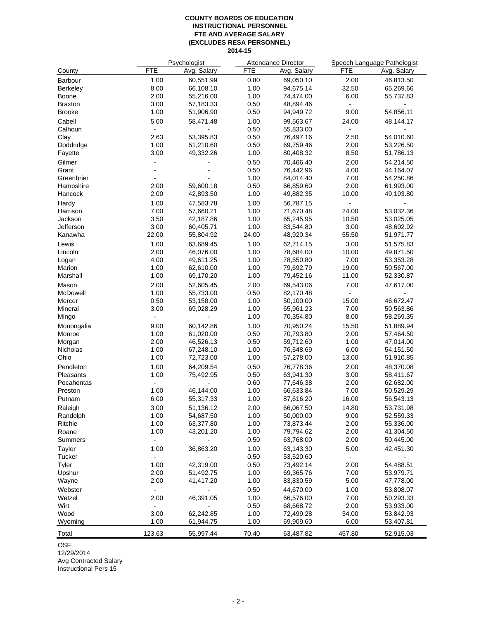|                |                | Psychologist             | <b>Attendance Director</b> |             | Speech Language Pathologist |             |
|----------------|----------------|--------------------------|----------------------------|-------------|-----------------------------|-------------|
| County         | <b>FTE</b>     | Avg. Salary              | <b>FTE</b>                 | Avg. Salary | <b>FTE</b>                  | Avg. Salary |
| Barbour        | 1.00           | 60,551.99                | 0.80                       | 69,050.10   | 2.00                        | 46,813.50   |
| Berkeley       | 8.00           | 66,108.10                | 1.00                       | 94,675.14   | 32.50                       | 65,269.66   |
| Boone          | 2.00           | 55,216.00                | 1.00                       | 74,474.00   | 6.00                        | 55,737.83   |
| <b>Braxton</b> | 3.00           | 57,183.33                | 0.50                       | 48,894.46   | $\blacksquare$              |             |
| <b>Brooke</b>  | 1.00           | 51,906.90                | 0.50                       | 94,949.72   | 9.00                        | 54,856.11   |
| Cabell         | 5.00           | 58,471.48                | 1.00                       | 99,563.67   | 24.00                       | 48,144.17   |
| Calhoun        |                |                          | 0.50                       | 55,833.00   |                             |             |
| Clay           | 2.63           | 53,395.83                | 0.50                       | 76,497.16   | 2.50                        | 54,010.60   |
| Doddridge      | 1.00           | 51,210.60                | 0.50                       | 69,759.46   | 2.00                        | 53,226.50   |
| Fayette        | 3.00           | 49,332.26                | 1.00                       | 80,408.32   | 8.50                        | 51,786.13   |
| Gilmer         |                |                          | 0.50                       | 70,466.40   | 2.00                        | 54,214.50   |
| Grant          |                |                          | 0.50                       | 76,442.96   | 4.00                        | 44,164.07   |
| Greenbrier     | $\overline{a}$ |                          | 1.00                       | 84,014.40   | 7.00                        | 54,250.86   |
| Hampshire      | 2.00           | 59,600.18                | 0.50                       | 66,859.60   | 2.00                        | 61,993.00   |
| Hancock        | 2.00           | 42,893.50                | 1.00                       | 49,882.35   | 10.00                       | 49,193.80   |
| Hardy          | 1.00           | 47,583.78                | 1.00                       | 56,787.15   | $\blacksquare$              |             |
| Harrison       | 7.00           | 57,660.21                | 1.00                       | 71,670.48   | 24.00                       | 53,032.36   |
| Jackson        | 3.50           | 42,187.86                | 1.00                       | 65,245.95   | 10.50                       | 53,025.05   |
| Jefferson      | 3.00           | 60,405.71                | 1.00                       | 83,544.80   | 3.00                        | 48,602.92   |
| Kanawha        | 22.00          |                          | 24.00                      |             | 55.50                       |             |
|                |                | 55,804.92                |                            | 48,920.34   |                             | 51,971.77   |
| Lewis          | 1.00           | 63,689.45                | 1.00                       | 62.714.15   | 3.00                        | 51,575.83   |
| Lincoln        | 2.00           | 46,076.00                | 1.00                       | 78,684.00   | 10.00                       | 49,871.50   |
| Logan          | 4.00           | 49,611.25                | 1.00                       | 78,550.80   | 7.00                        | 53,353.28   |
| Marion         | 1.00           | 62,610.00                | 1.00                       | 79,692.79   | 19.00                       | 50,567.00   |
| Marshall       | 1.00           | 69,170.20                | 1.00                       | 79,452.16   | 11.00                       | 52,330.87   |
| Mason          | 2.00           | 52,605.45                | 2.00                       | 69,543.06   | 7.00                        | 47,617.00   |
| McDowell       | 1.00           | 55,733.00                | 0.50                       | 82,170.48   | $\overline{\phantom{a}}$    |             |
| Mercer         | 0.50           | 53,158.00                | 1.00                       | 50,100.00   | 15.00                       | 46,672.47   |
| Mineral        | 3.00           | 69,028.29                | 1.00                       | 65,961.23   | 7.00                        | 50,563.86   |
| Mingo          |                |                          | 1.00                       | 70,354.80   | 8.00                        | 58,269.35   |
| Monongalia     | 9.00           | 60,142.86                | 1.00                       | 70,950.24   | 15.50                       | 51,889.94   |
| Monroe         | 1.00           | 61,020.00                | 0.50                       | 70,793.80   | 2.00                        | 57,464.50   |
| Morgan         | 2.00           | 46,526.13                | 0.50                       | 59,712.60   | 1.00                        | 47,014.00   |
| Nicholas       | 1.00           | 67,248.10                | 1.00                       | 76,548.69   | 6.00                        | 54,151.50   |
| Ohio           | 1.00           | 72,723.00                | 1.00                       | 57,278.00   | 13.00                       | 51,910.85   |
| Pendleton      | 1.00           | 64,209.54                | 0.50                       | 76,778.36   | 2.00                        | 48,370.08   |
| Pleasants      | 1.00           | 75,492.95                | 0.50                       | 63,941.30   | 3.00                        | 58,411.67   |
| Pocahontas     |                |                          | 0.60                       | 77,646.38   | 2.00                        | 62,682.00   |
| Preston        | 1.00           | 46,144.00                | 1.00                       | 66,633.84   | 7.00                        | 50,529.29   |
| Putnam         | 6.00           | 55,317.33                | 1.00                       | 87,616.20   | 16.00                       | 56,543.13   |
| Raleigh        | 3.00           | 51,136.12                | 2.00                       | 66,067.50   | 14.80                       | 53,731.98   |
| Randolph       | 1.00           | 54,687.50                | 1.00                       | 50,000.00   | 9.00                        | 52,559.33   |
| Ritchie        | 1.00           | 63,377.80                | 1.00                       | 73,873.44   | 2.00                        | 55,336.00   |
| Roane          | 1.00           | 43,201.20                | 1.00                       | 79,794.62   | 2.00                        | 41,304.50   |
| Summers        |                |                          | 0.50                       | 63,768.00   | 2.00                        | 50,445.00   |
| Taylor         | 1.00           | 36,863.20                | 1.00                       | 63,143.30   | 5.00                        | 42,451.30   |
| Tucker         | $\blacksquare$ | $\blacksquare$           | 0.50                       | 53,520.60   | $\blacksquare$              |             |
| Tyler          | 1.00           | 42,319.00                | 0.50                       | 73,492.14   | 2.00                        | 54,488.51   |
| Upshur         | 2.00           | 51,492.75                | 1.00                       | 69,365.76   | 7.00                        | 53,979.71   |
| Wayne          | 2.00           | 41,417.20                | 1.00                       | 83,830.59   | 5.00                        | 47,778.00   |
| Webster        | $\blacksquare$ | $\blacksquare$           | 0.50                       | 44.670.00   | 1.00                        | 53,808.07   |
| Wetzel         | 2.00           | 46,391.05                | 1.00                       | 66,576.00   | 7.00                        | 50,293.33   |
| Wirt           |                | $\overline{\phantom{a}}$ | 0.50                       | 68,668.72   | 2.00                        | 53,933.00   |
| Wood           | 3.00           | 62,242.85                | 1.00                       | 72,499.28   | 34.00                       | 53,842.93   |
| Wyoming        | 1.00           | 61,944.75                | 1.00                       | 69,909.60   | 6.00                        | 53,407.81   |
| Total          | 123.63         | 55,997.44                | 70.40                      | 63,487.82   | 457.80                      | 52,915.03   |

OSF

12/29/2014

Avg Contracted Salary-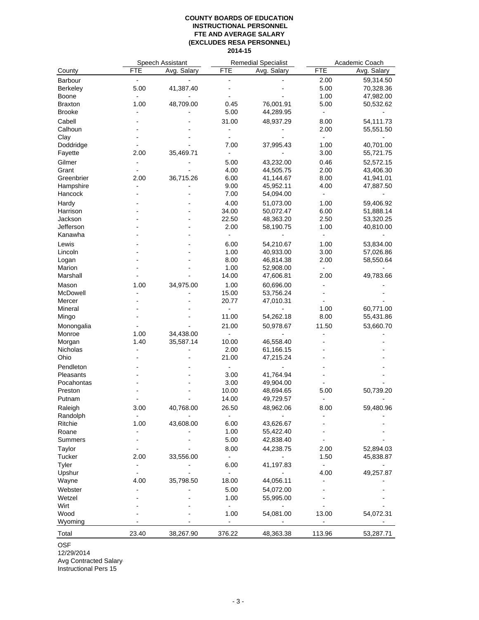|                |       | Speech Assistant |                          | <b>Remedial Specialist</b> |                          | Academic Coach |  |
|----------------|-------|------------------|--------------------------|----------------------------|--------------------------|----------------|--|
| County         | FTE   | Avg. Salary      | <b>FTE</b>               | Avg. Salary                | <b>FTE</b>               | Avg. Salary    |  |
| Barbour        |       |                  |                          |                            | 2.00                     | 59,314.50      |  |
| Berkeley       | 5.00  | 41,387.40        |                          |                            | 5.00                     | 70,328.36      |  |
| Boone          |       |                  |                          |                            | 1.00                     | 47,982.00      |  |
| <b>Braxton</b> | 1.00  | 48,709.00        | 0.45                     | 76,001.91                  | 5.00                     | 50,532.62      |  |
| <b>Brooke</b>  |       |                  | 5.00                     | 44,289.95                  |                          |                |  |
| Cabell         |       |                  | 31.00                    | 48,937.29                  | 8.00                     | 54,111.73      |  |
| Calhoun        |       |                  |                          |                            | 2.00                     | 55,551.50      |  |
| Clay           |       |                  |                          |                            | $\overline{a}$           |                |  |
| Doddridge      |       |                  | 7.00                     | 37,995.43                  | 1.00                     | 40,701.00      |  |
| Fayette        | 2.00  | 35,469.71        |                          |                            | 3.00                     | 55,721.75      |  |
| Gilmer         |       |                  | 5.00                     | 43,232.00                  | 0.46                     | 52,572.15      |  |
| Grant          |       |                  | 4.00                     | 44,505.75                  | 2.00                     | 43,406.30      |  |
| Greenbrier     | 2.00  | 36,715.26        | 6.00                     | 41,144.67                  | 8.00                     | 41,941.01      |  |
| Hampshire      |       |                  | 9.00                     | 45,952.11                  | 4.00                     | 47,887.50      |  |
| Hancock        |       |                  | 7.00                     | 54,094.00                  |                          |                |  |
| Hardy          |       |                  | 4.00                     | 51,073.00                  | 1.00                     | 59,406.92      |  |
| Harrison       |       |                  | 34.00                    | 50,072.47                  | 6.00                     | 51,888.14      |  |
| Jackson        |       |                  | 22.50                    | 48,363.20                  | 2.50                     | 53,320.25      |  |
| Jefferson      |       |                  | 2.00                     | 58,190.75                  | 1.00                     | 40,810.00      |  |
| Kanawha        |       |                  |                          |                            |                          |                |  |
| Lewis          |       |                  | 6.00                     | 54,210.67                  | 1.00                     | 53,834.00      |  |
| Lincoln        |       |                  | 1.00                     | 40,933.00                  | 3.00                     | 57,026.86      |  |
| Logan          |       |                  | 8.00                     | 46,814.38                  | 2.00                     | 58,550.64      |  |
| Marion         |       |                  | 1.00                     | 52,908.00                  | $\overline{\phantom{a}}$ |                |  |
| Marshall       |       |                  | 14.00                    | 47,606.81                  | 2.00                     | 49,783.66      |  |
| Mason          | 1.00  | 34,975.00        | 1.00                     | 60,696.00                  |                          |                |  |
| McDowell       |       |                  | 15.00                    | 53,756.24                  |                          |                |  |
| Mercer         |       |                  | 20.77                    | 47,010.31                  |                          |                |  |
| Mineral        |       |                  |                          |                            | 1.00                     | 60,771.00      |  |
| Mingo          |       |                  | 11.00                    | 54,262.18                  | 8.00                     | 55,431.86      |  |
| Monongalia     |       |                  | 21.00                    | 50,978.67                  | 11.50                    | 53,660.70      |  |
| Monroe         | 1.00  | 34,438.00        | $\blacksquare$           |                            |                          |                |  |
| Morgan         | 1.40  | 35,587.14        | 10.00                    | 46,558.40                  |                          |                |  |
| Nicholas       |       |                  | 2.00                     | 61,166.15                  |                          |                |  |
| Ohio           |       |                  | 21.00                    | 47,215.24                  |                          |                |  |
| Pendleton      |       |                  |                          |                            |                          |                |  |
| Pleasants      |       |                  | 3.00                     | 41,764.94                  |                          |                |  |
| Pocahontas     |       |                  | 3.00                     | 49,904.00                  |                          |                |  |
| Preston        |       |                  | 10.00                    | 48,694.65                  | 5.00                     | 50,739.20      |  |
| Putnam         |       |                  | 14.00                    | 49,729.57                  |                          |                |  |
| Raleigh        | 3.00  | 40,768.00        | 26.50                    | 48,962.06                  | 8.00                     | 59,480.96      |  |
| Randolph       |       |                  | $\overline{a}$           |                            |                          |                |  |
| Ritchie        | 1.00  | 43,608.00        | 6.00                     | 43,626.67                  |                          |                |  |
| Roane          |       |                  | 1.00                     | 55,422.40                  |                          |                |  |
| Summers        |       |                  | 5.00                     | 42,838.40                  |                          |                |  |
| Taylor         |       |                  | 8.00                     | 44,238.75                  | 2.00                     | 52,894.03      |  |
| Tucker         | 2.00  | 33,556.00        | $\blacksquare$           |                            | 1.50                     | 45,838.87      |  |
| Tyler          |       |                  | 6.00                     | 41,197.83                  | $\overline{\phantom{a}}$ |                |  |
| Upshur         |       |                  | -                        |                            | 4.00                     | 49,257.87      |  |
| Wayne          | 4.00  | 35,798.50        | 18.00                    | 44,056.11                  |                          |                |  |
| Webster        |       |                  | 5.00                     | 54,072.00                  |                          |                |  |
| Wetzel         |       |                  | 1.00                     | 55,995.00                  |                          |                |  |
| Wirt           |       |                  | $\overline{\phantom{a}}$ |                            |                          |                |  |
| Wood           |       |                  | 1.00                     | 54,081.00                  | 13.00                    | 54,072.31      |  |
| Wyoming        |       |                  |                          |                            |                          |                |  |
| Total          | 23.40 | 38,267.90        | 376.22                   | 48,363.38                  | 113.96                   | 53,287.71      |  |

OSF

12/29/2014

Avg Contracted Salary-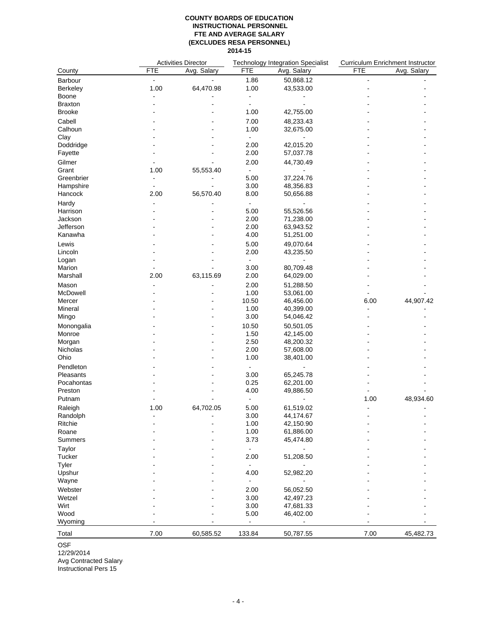|                    | <b>Activities Director</b> |             | <b>Technology Integration Specialist</b> |                        | Curriculum Enrichment Instructor |             |
|--------------------|----------------------------|-------------|------------------------------------------|------------------------|----------------------------------|-------------|
| County             | <b>FTE</b>                 | Avg. Salary | <b>FTE</b>                               | Avg. Salary            | <b>FTE</b>                       | Avg. Salary |
| <b>Barbour</b>     | $\blacksquare$             |             | 1.86                                     | 50,868.12              |                                  |             |
| Berkeley           | 1.00                       | 64,470.98   | 1.00                                     | 43,533.00              |                                  |             |
| Boone              |                            |             |                                          |                        |                                  |             |
| <b>Braxton</b>     |                            |             |                                          |                        |                                  |             |
| <b>Brooke</b>      |                            |             | 1.00                                     | 42,755.00              |                                  |             |
| Cabell             |                            |             | 7.00                                     | 48,233.43              |                                  |             |
| Calhoun            |                            |             | 1.00                                     | 32,675.00              |                                  |             |
| Clay               |                            |             | $\blacksquare$                           |                        |                                  |             |
| Doddridge          |                            |             | 2.00                                     | 42,015.20              |                                  |             |
| Fayette            |                            |             | 2.00                                     | 57,037.78              |                                  |             |
| Gilmer             |                            |             | 2.00                                     | 44,730.49              |                                  |             |
| Grant              | 1.00                       | 55,553.40   |                                          |                        |                                  |             |
| Greenbrier         |                            |             | 5.00                                     | 37,224.76              |                                  |             |
| Hampshire          |                            |             | 3.00                                     | 48,356.83              |                                  |             |
| Hancock            | 2.00                       | 56,570.40   | 8.00                                     | 50,656.88              |                                  |             |
| Hardy              |                            |             |                                          |                        |                                  |             |
| Harrison           |                            |             | 5.00                                     | 55,526.56              |                                  |             |
| Jackson            |                            |             | 2.00                                     | 71,238.00              |                                  |             |
| Jefferson          |                            |             | 2.00                                     | 63,943.52              |                                  |             |
| Kanawha            |                            |             | 4.00                                     | 51,251.00              |                                  |             |
| Lewis              |                            |             | 5.00                                     | 49,070.64              |                                  |             |
| Lincoln            |                            |             | 2.00                                     | 43,235.50              |                                  |             |
| Logan              |                            |             |                                          |                        |                                  |             |
| Marion             |                            |             | 3.00                                     | 80,709.48              |                                  |             |
| Marshall           | 2.00                       | 63,115.69   | 2.00                                     | 64,029.00              |                                  |             |
| Mason              |                            |             | 2.00                                     | 51,288.50              |                                  |             |
| McDowell           |                            |             | 1.00                                     | 53,061.00              |                                  |             |
| Mercer             |                            |             | 10.50                                    | 46,456.00              | 6.00                             | 44,907.42   |
| Mineral            |                            |             | 1.00                                     | 40,399.00              |                                  |             |
| Mingo              |                            |             | 3.00                                     | 54,046.42              |                                  |             |
| Monongalia         |                            |             | 10.50                                    | 50,501.05              |                                  |             |
| Monroe             |                            |             | 1.50                                     | 42,145.00              |                                  |             |
| Morgan<br>Nicholas |                            |             | 2.50<br>2.00                             | 48,200.32              |                                  |             |
| Ohio               |                            |             | 1.00                                     | 57,608.00<br>38,401.00 |                                  |             |
| Pendleton          |                            |             |                                          |                        |                                  |             |
| Pleasants          |                            |             | $\blacksquare$<br>3.00                   |                        |                                  |             |
| Pocahontas         |                            |             | 0.25                                     | 65,245.78<br>62,201.00 |                                  |             |
| Preston            |                            |             | 4.00                                     | 49,886.50              |                                  |             |
| Putnam             |                            |             |                                          |                        | 1.00                             | 48,934.60   |
| Raleigh            | 1.00                       | 64.702.05   | 5.00                                     | 61,519.02              | $\overline{\phantom{a}}$         |             |
| Randolph           |                            |             | 3.00                                     | 44,174.67              |                                  |             |
| Ritchie            |                            |             | 1.00                                     | 42,150.90              |                                  |             |
| Roane              |                            |             | 1.00                                     | 61,886.00              |                                  |             |
| <b>Summers</b>     |                            |             | 3.73                                     | 45,474.80              |                                  |             |
| Taylor             |                            |             |                                          |                        |                                  |             |
| Tucker             |                            |             | 2.00                                     | 51,208.50              |                                  |             |
| Tyler              |                            |             |                                          |                        |                                  |             |
| Upshur             |                            |             | 4.00                                     | 52,982.20              |                                  |             |
| Wayne              |                            |             |                                          |                        |                                  |             |
| Webster            |                            |             | 2.00                                     | 56,052.50              |                                  |             |
| Wetzel             |                            |             | 3.00                                     | 42,497.23              |                                  |             |
| Wirt               |                            |             | 3.00                                     | 47,681.33              |                                  |             |
| Wood               |                            |             | 5.00                                     | 46,402.00              |                                  |             |
| Wyoming            |                            |             |                                          |                        |                                  |             |
| Total              | 7.00                       | 60,585.52   | 133.84                                   | 50,787.55              | 7.00                             | 45,482.73   |
|                    |                            |             |                                          |                        |                                  |             |

OSF

12/29/2014

Avg Contracted Salary-